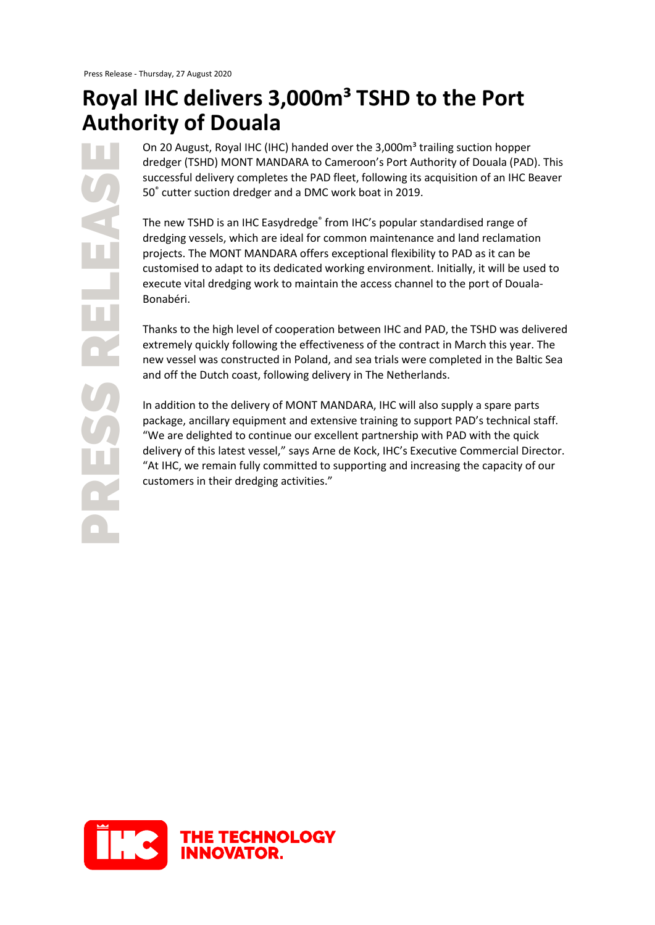## **Royal IHC delivers 3,000m³ TSHD to the Port Authority of Douala**

PRESS RELEASE RESS RELE On 20 August, Royal IHC (IHC) handed over the 3,000m<sup>3</sup> trailing suction hopper dredger (TSHD) MONT MANDARA to Cameroon's Port Authority of Douala (PAD). This successful delivery completes the PAD fleet, following its acquisition of an IHC Beaver 50® cutter suction dredger and a DMC work boat in 2019.

The new TSHD is an IHC Easydredge<sup>®</sup> from IHC's popular standardised range of dredging vessels, which are ideal for common maintenance and land reclamation projects. The MONT MANDARA offers exceptional flexibility to PAD as it can be customised to adapt to its dedicated working environment. Initially, it will be used to execute vital dredging work to maintain the access channel to the port of Douala-Bonabéri.

Thanks to the high level of cooperation between IHC and PAD, the TSHD was delivered extremely quickly following the effectiveness of the contract in March this year. The new vessel was constructed in Poland, and sea trials were completed in the Baltic Sea and off the Dutch coast, following delivery in The Netherlands.

In addition to the delivery of MONT MANDARA, IHC will also supply a spare parts package, ancillary equipment and extensive training to support PAD's technical staff. "We are delighted to continue our excellent partnership with PAD with the quick delivery of this latest vessel," says Arne de Kock, IHC's Executive Commercial Director. "At IHC, we remain fully committed to supporting and increasing the capacity of our customers in their dredging activities."